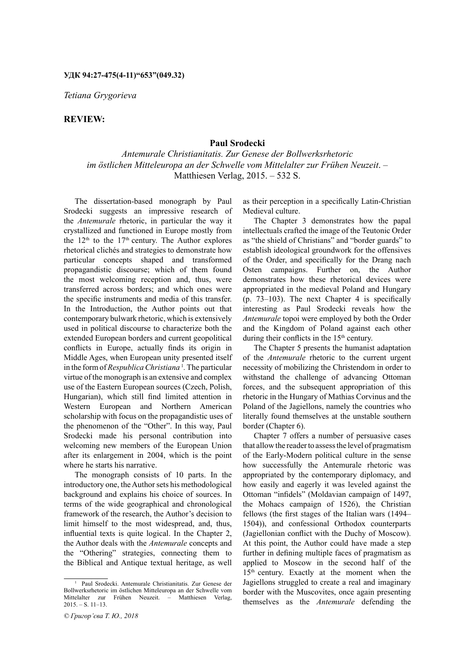*Tetiana Grygorieva*

## **REVIEW:**

## **Paul Srodecki**

*Antemurale Christianitatis. Zur Genese der Bollwerksrhetoric im östlichen Mitteleuropa an der Schwelle vom Mittelalter zur Frühen Neuzeit*. – Matthiesen Verlag, 2015. – 532 S.

The dissertation-based monograph by Paul Srodecki suggests an impressive research of the *Antemurale* rhetoric, in particular the way it crystallized and functioned in Europe mostly from the  $12<sup>th</sup>$  to the  $17<sup>th</sup>$  century. The Author explores rhetorical clichés and strategies to demonstrate how particular concepts shaped and transformed propagandistic discourse; which of them found the most welcoming reception and, thus, were transferred across borders; and which ones were the specific instruments and media of this transfer. In the Introduction, the Author points out that contemporary bulwark rhetoric, which is extensively used in political discourse to characterize both the extended European borders and current geopolitical conflicts in Europe, actually finds its origin in Middle Ages, when European unity presented itself in the form of *Respublica Christiana*<sup>1</sup>. The particular virtue of the monograph is an extensive and complex use of the Eastern European sources (Czech, Polish, Hungarian), which still find limited attention in Western European and Northern American scholarship with focus on the propagandistic uses of the phenomenon of the "Other". In this way, Paul Srodecki made his personal contribution into welcoming new members of the European Union after its enlargement in 2004, which is the point where he starts his narrative.

The monograph consists of 10 parts. In the introductory one, the Author sets his methodological background and explains his choice of sources. In terms of the wide geographical and chronological framework of the research, the Author's decision to limit himself to the most widespread, and, thus, influential texts is quite logical. In the Chapter 2, the Author deals with the *Antemurale* concepts and the "Othering" strategies, connecting them to the Biblical and Antique textual heritage, as well as their perception in a specifically Latin-Christian Medieval culture.

The Chapter 3 demonstrates how the papal intellectuals crafted the image of the Teutonic Order as "the shield of Christians" and "border guards" to establish ideological groundwork for the offensives of the Order, and specifically for the Drang nach Osten campaigns. Further on, the Author demonstrates how these rhetorical devices were appropriated in the medieval Poland and Hungary (p. 73–103). The next Chapter 4 is specifically interesting as Paul Srodecki reveals how the *Antemurale* topoi were employed by both the Order and the Kingdom of Poland against each other during their conflicts in the 15<sup>th</sup> century.

The Chapter 5 presents the humanist adaptation of the *Antemurale* rhetoric to the current urgent necessity of mobilizing the Christendom in order to withstand the challenge of advancing Ottoman forces, and the subsequent appropriation of this rhetoric in the Hungary of Mathias Corvinus and the Poland of the Jagiellons, namely the countries who literally found themselves at the unstable southern border (Chapter 6).

Chapter 7 offers a number of persuasive cases that allow the reader to assess the level of pragmatism of the Early-Modern political culture in the sense how successfully the Antemurale rhetoric was appropriated by the contemporary diplomacy, and how easily and eagerly it was leveled against the Ottoman "infidels" (Moldavian campaign of 1497, the Mohacs campaign of 1526), the Christian fellows (the first stages of the Italian wars (1494– 1504)), and confessional Orthodox counterparts (Jagiellonian conflict with the Duchy of Moscow). At this point, the Author could have made a step further in defining multiple faces of pragmatism as applied to Moscow in the second half of the 15<sup>th</sup> century. Exactly at the moment when the Jagiellons struggled to create a real and imaginary border with the Muscovites, once again presenting themselves as the *Antemurale* defending the

<sup>1</sup> Paul Srodecki. Antemurale Christianitatis. Zur Genese der Bollwerksrhetoric im östlichen Mitteleuropa an der Schwelle vom Mittelalter zur Frühen Neuzeit. – Matthiesen Verlag,  $2015. - S. 11 - 13.$